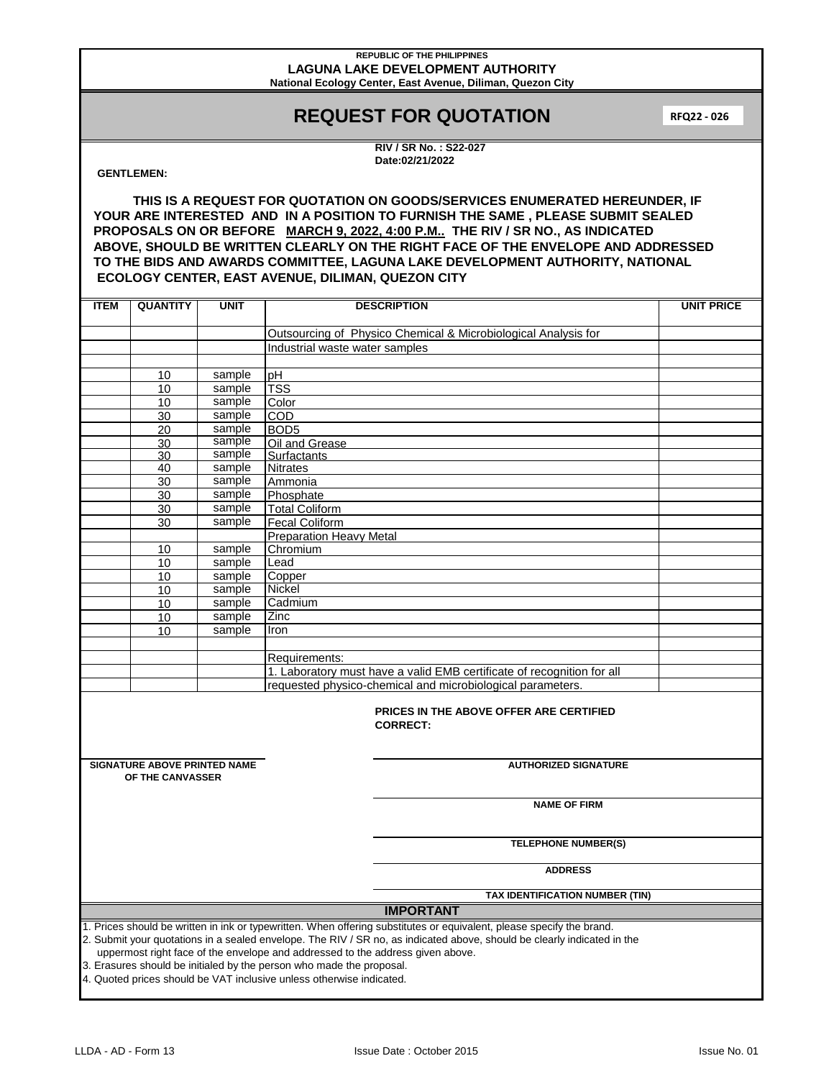### **REPUBLIC OF THE PHILIPPINES LAGUNA LAKE DEVELOPMENT AUTHORITY National Ecology Center, East Avenue, Diliman, Quezon City**

# **REQUEST FOR QUOTATION**

**RFQ22 - 026**

**RIV / SR No. : S22-027 Date:02/21/2022**

## **GENTLEMEN:**

**THIS IS A REQUEST FOR QUOTATION ON GOODS/SERVICES ENUMERATED HEREUNDER, IF YOUR ARE INTERESTED AND IN A POSITION TO FURNISH THE SAME , PLEASE SUBMIT SEALED PROPOSALS ON OR BEFORE MARCH 9, 2022, 4:00 P.M.. THE RIV / SR NO., AS INDICATED ABOVE, SHOULD BE WRITTEN CLEARLY ON THE RIGHT FACE OF THE ENVELOPE AND ADDRESSED TO THE BIDS AND AWARDS COMMITTEE, LAGUNA LAKE DEVELOPMENT AUTHORITY, NATIONAL ECOLOGY CENTER, EAST AVENUE, DILIMAN, QUEZON CITY**

| <b>ITEM</b>                                                                                                                                                                                                                                                                                                                                                                                                                                                                        | <b>QUANTITY</b>                                         | <b>UNIT</b> | <b>DESCRIPTION</b>                                                     | <b>UNIT PRICE</b> |  |  |  |
|------------------------------------------------------------------------------------------------------------------------------------------------------------------------------------------------------------------------------------------------------------------------------------------------------------------------------------------------------------------------------------------------------------------------------------------------------------------------------------|---------------------------------------------------------|-------------|------------------------------------------------------------------------|-------------------|--|--|--|
|                                                                                                                                                                                                                                                                                                                                                                                                                                                                                    |                                                         |             |                                                                        |                   |  |  |  |
|                                                                                                                                                                                                                                                                                                                                                                                                                                                                                    |                                                         |             | Outsourcing of Physico Chemical & Microbiological Analysis for         |                   |  |  |  |
|                                                                                                                                                                                                                                                                                                                                                                                                                                                                                    |                                                         |             | Industrial waste water samples                                         |                   |  |  |  |
|                                                                                                                                                                                                                                                                                                                                                                                                                                                                                    | 10                                                      | sample      | рH                                                                     |                   |  |  |  |
|                                                                                                                                                                                                                                                                                                                                                                                                                                                                                    | 10                                                      | sample      | <b>TSS</b>                                                             |                   |  |  |  |
|                                                                                                                                                                                                                                                                                                                                                                                                                                                                                    | 10                                                      | sample      | Color                                                                  |                   |  |  |  |
|                                                                                                                                                                                                                                                                                                                                                                                                                                                                                    | 30                                                      | sample      | COD                                                                    |                   |  |  |  |
|                                                                                                                                                                                                                                                                                                                                                                                                                                                                                    | 20                                                      | sample      | BOD <sub>5</sub>                                                       |                   |  |  |  |
|                                                                                                                                                                                                                                                                                                                                                                                                                                                                                    | 30                                                      | sample      | Oil and Grease                                                         |                   |  |  |  |
|                                                                                                                                                                                                                                                                                                                                                                                                                                                                                    | 30                                                      | sample      | Surfactants                                                            |                   |  |  |  |
|                                                                                                                                                                                                                                                                                                                                                                                                                                                                                    | 40                                                      | sample      | <b>Nitrates</b>                                                        |                   |  |  |  |
|                                                                                                                                                                                                                                                                                                                                                                                                                                                                                    | 30                                                      | sample      | Ammonia                                                                |                   |  |  |  |
|                                                                                                                                                                                                                                                                                                                                                                                                                                                                                    | 30                                                      | sample      | Phosphate                                                              |                   |  |  |  |
|                                                                                                                                                                                                                                                                                                                                                                                                                                                                                    | 30                                                      | sample      | <b>Total Coliform</b>                                                  |                   |  |  |  |
|                                                                                                                                                                                                                                                                                                                                                                                                                                                                                    | 30                                                      | sample      | <b>Fecal Coliform</b>                                                  |                   |  |  |  |
|                                                                                                                                                                                                                                                                                                                                                                                                                                                                                    |                                                         |             | <b>Preparation Heavy Metal</b>                                         |                   |  |  |  |
|                                                                                                                                                                                                                                                                                                                                                                                                                                                                                    | 10                                                      | sample      | Chromium                                                               |                   |  |  |  |
|                                                                                                                                                                                                                                                                                                                                                                                                                                                                                    | 10                                                      | sample      | Lead                                                                   |                   |  |  |  |
|                                                                                                                                                                                                                                                                                                                                                                                                                                                                                    | 10                                                      | sample      | Copper                                                                 |                   |  |  |  |
|                                                                                                                                                                                                                                                                                                                                                                                                                                                                                    | 10                                                      | sample      | Nickel                                                                 |                   |  |  |  |
|                                                                                                                                                                                                                                                                                                                                                                                                                                                                                    | 10                                                      | sample      | Cadmium                                                                |                   |  |  |  |
|                                                                                                                                                                                                                                                                                                                                                                                                                                                                                    | 10                                                      | sample      | Zinc                                                                   |                   |  |  |  |
|                                                                                                                                                                                                                                                                                                                                                                                                                                                                                    | 10                                                      | sample      | Iron                                                                   |                   |  |  |  |
|                                                                                                                                                                                                                                                                                                                                                                                                                                                                                    |                                                         |             |                                                                        |                   |  |  |  |
|                                                                                                                                                                                                                                                                                                                                                                                                                                                                                    |                                                         |             | Requirements:                                                          |                   |  |  |  |
|                                                                                                                                                                                                                                                                                                                                                                                                                                                                                    |                                                         |             | 1. Laboratory must have a valid EMB certificate of recognition for all |                   |  |  |  |
|                                                                                                                                                                                                                                                                                                                                                                                                                                                                                    |                                                         |             | requested physico-chemical and microbiological parameters.             |                   |  |  |  |
| <b>PRICES IN THE ABOVE OFFER ARE CERTIFIED</b><br><b>CORRECT:</b>                                                                                                                                                                                                                                                                                                                                                                                                                  |                                                         |             |                                                                        |                   |  |  |  |
|                                                                                                                                                                                                                                                                                                                                                                                                                                                                                    | <b>SIGNATURE ABOVE PRINTED NAME</b><br>OF THE CANVASSER |             | <b>AUTHORIZED SIGNATURE</b>                                            |                   |  |  |  |
| <b>NAME OF FIRM</b>                                                                                                                                                                                                                                                                                                                                                                                                                                                                |                                                         |             |                                                                        |                   |  |  |  |
|                                                                                                                                                                                                                                                                                                                                                                                                                                                                                    |                                                         |             | <b>TELEPHONE NUMBER(S)</b>                                             |                   |  |  |  |
|                                                                                                                                                                                                                                                                                                                                                                                                                                                                                    |                                                         |             | <b>ADDRESS</b>                                                         |                   |  |  |  |
|                                                                                                                                                                                                                                                                                                                                                                                                                                                                                    |                                                         |             | TAX IDENTIFICATION NUMBER (TIN)                                        |                   |  |  |  |
| <b>IMPORTANT</b>                                                                                                                                                                                                                                                                                                                                                                                                                                                                   |                                                         |             |                                                                        |                   |  |  |  |
| 1. Prices should be written in ink or typewritten. When offering substitutes or equivalent, please specify the brand.<br>2. Submit your quotations in a sealed envelope. The RIV / SR no, as indicated above, should be clearly indicated in the<br>uppermost right face of the envelope and addressed to the address given above.<br>3. Erasures should be initialed by the person who made the proposal.<br>4. Quoted prices should be VAT inclusive unless otherwise indicated. |                                                         |             |                                                                        |                   |  |  |  |